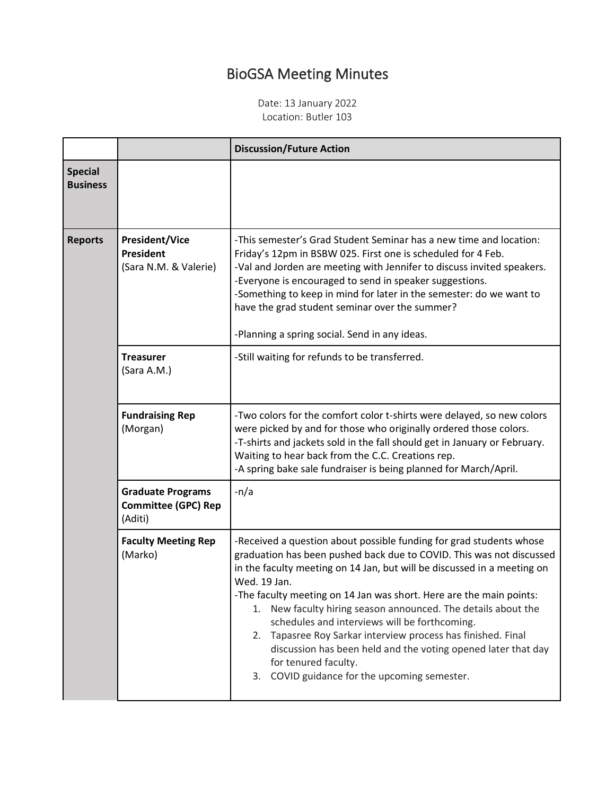## BioGSA Meeting Minutes

Date: 13 January 2022 Location: Butler 103

|                                   |                                                                    | <b>Discussion/Future Action</b>                                                                                                                                                                                                                                                                                                                                                                                                                                                                                                                                                                                                             |
|-----------------------------------|--------------------------------------------------------------------|---------------------------------------------------------------------------------------------------------------------------------------------------------------------------------------------------------------------------------------------------------------------------------------------------------------------------------------------------------------------------------------------------------------------------------------------------------------------------------------------------------------------------------------------------------------------------------------------------------------------------------------------|
| <b>Special</b><br><b>Business</b> |                                                                    |                                                                                                                                                                                                                                                                                                                                                                                                                                                                                                                                                                                                                                             |
| <b>Reports</b>                    | <b>President/Vice</b><br><b>President</b><br>(Sara N.M. & Valerie) | -This semester's Grad Student Seminar has a new time and location:<br>Friday's 12pm in BSBW 025. First one is scheduled for 4 Feb.<br>-Val and Jorden are meeting with Jennifer to discuss invited speakers.<br>-Everyone is encouraged to send in speaker suggestions.<br>-Something to keep in mind for later in the semester: do we want to<br>have the grad student seminar over the summer?<br>-Planning a spring social. Send in any ideas.                                                                                                                                                                                           |
|                                   | <b>Treasurer</b><br>(Sara A.M.)                                    | -Still waiting for refunds to be transferred.                                                                                                                                                                                                                                                                                                                                                                                                                                                                                                                                                                                               |
|                                   | <b>Fundraising Rep</b><br>(Morgan)                                 | -Two colors for the comfort color t-shirts were delayed, so new colors<br>were picked by and for those who originally ordered those colors.<br>-T-shirts and jackets sold in the fall should get in January or February.<br>Waiting to hear back from the C.C. Creations rep.<br>-A spring bake sale fundraiser is being planned for March/April.                                                                                                                                                                                                                                                                                           |
|                                   | <b>Graduate Programs</b><br><b>Committee (GPC) Rep</b><br>(Aditi)  | $-n/a$                                                                                                                                                                                                                                                                                                                                                                                                                                                                                                                                                                                                                                      |
|                                   | <b>Faculty Meeting Rep</b><br>(Marko)                              | -Received a question about possible funding for grad students whose<br>graduation has been pushed back due to COVID. This was not discussed<br>in the faculty meeting on 14 Jan, but will be discussed in a meeting on<br>Wed. 19 Jan.<br>-The faculty meeting on 14 Jan was short. Here are the main points:<br>1. New faculty hiring season announced. The details about the<br>schedules and interviews will be forthcoming.<br>2. Tapasree Roy Sarkar interview process has finished. Final<br>discussion has been held and the voting opened later that day<br>for tenured faculty.<br>COVID guidance for the upcoming semester.<br>3. |